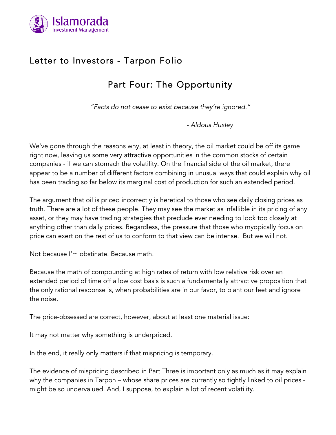

# Letter to Investors - Tarpon Folio

# Part Four: The Opportunity

*"Facts do not cease to exist because they're ignored."*

*- Aldous Huxley* 

We've gone through the reasons why, at least in theory, the oil market could be off its game right now, leaving us some very attractive opportunities in the common stocks of certain companies - if we can stomach the volatility. On the financial side of the oil market, there appear to be a number of different factors combining in unusual ways that could explain why oil has been trading so far below its marginal cost of production for such an extended period.

The argument that oil is priced incorrectly is heretical to those who see daily closing prices as truth. There are a lot of these people. They may see the market as infallible in its pricing of any asset, or they may have trading strategies that preclude ever needing to look too closely at anything other than daily prices. Regardless, the pressure that those who myopically focus on price can exert on the rest of us to conform to that view can be intense. But we will not.

Not because I'm obstinate. Because math.

Because the math of compounding at high rates of return with low relative risk over an extended period of time off a low cost basis is such a fundamentally attractive proposition that the only rational response is, when probabilities are in our favor, to plant our feet and ignore the noise.

The price-obsessed are correct, however, about at least one material issue:

It may not matter why something is underpriced.

In the end, it really only matters if that mispricing is temporary.

The evidence of mispricing described in Part Three is important only as much as it may explain why the companies in Tarpon – whose share prices are currently so tightly linked to oil prices might be so undervalued. And, I suppose, to explain a lot of recent volatility.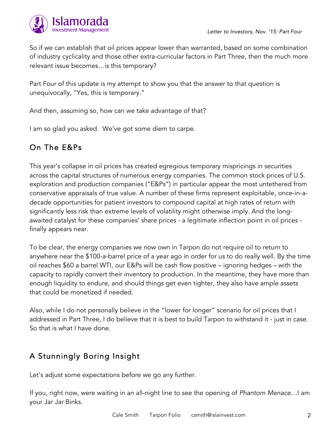

So if we can establish that oil prices appear lower than warranted, based on some combination of industry cyclicality and those other extra-curricular factors in Part Three, then the much more relevant issue becomes…is this temporary?

Part Four of this update is my attempt to show you that the answer to that question is unequivocally, "Yes, this is temporary."

And then, assuming so, how can we take advantage of that?

I am so glad you asked. We've got some diem to carpe.

## On The E&Ps

This year's collapse in oil prices has created egregious temporary mispricings in securities across the capital structures of numerous energy companies. The common stock prices of U.S. exploration and production companies ("E&Ps") in particular appear the most untethered from conservative appraisals of true value. A number of these firms represent exploitable, once-in-adecade opportunities for patient investors to compound capital at high rates of return with significantly less risk than extreme levels of volatility might otherwise imply. And the longawaited catalyst for these companies' share prices - a legitimate inflection point in oil prices finally appears near.

To be clear, the energy companies we now own in Tarpon do not require oil to return to anywhere near the \$100-a-barrel price of a year ago in order for us to do really well. By the time oil reaches \$60 a barrel WTI, our E&Ps will be cash flow positive – ignoring hedges – with the capacity to rapidly convert their inventory to production. In the meantime, they have more than enough liquidity to endure, and should things get even tighter, they also have ample assets that could be monetized if needed.

Also, while I do not personally believe in the "lower for longer" scenario for oil prices that I addressed in Part Three, I do believe that it is best to build Tarpon to withstand it - just in case. So that is what I have done.

## A Stunningly Boring Insight

Let's adjust some expectations before we go any further.

If you, right now, were waiting in an all-night line to see the opening of *Phantom Menace…*I am your Jar Jar Binks.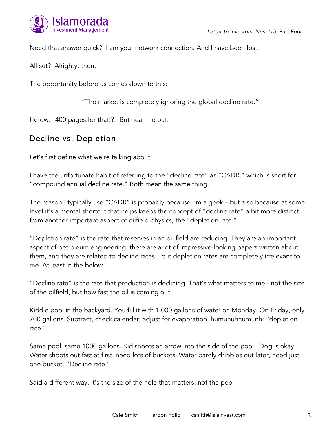

Need that answer quick? I am your network connection. And I have been lost.

All set? Alrighty, then.

The opportunity before us comes down to this:

"The market is completely ignoring the global decline rate."

I know…400 pages for that!?! But hear me out.

### Decline vs. Depletion

Let's first define what we're talking about.

I have the unfortunate habit of referring to the "decline rate" as "CADR," which is short for "compound annual decline rate." Both mean the same thing.

The reason I typically use "CADR" is probably because I'm a geek – but also because at some level it's a mental shortcut that helps keeps the concept of "decline rate" a bit more distinct from another important aspect of oilfield physics, the "depletion rate."

"Depletion rate" is the rate that reserves in an oil field are reducing. They are an important aspect of petroleum engineering, there are a lot of impressive-looking papers written about them, and they are related to decline rates…but depletion rates are completely irrelevant to me. At least in the below.

"Decline rate" is the rate that production is declining. That's what matters to me - not the size of the oilfield, but how fast the oil is coming out.

Kiddie pool in the backyard. You fill it with 1,000 gallons of water on Monday. On Friday, only 700 gallons. Subtract, check calendar, adjust for evaporation, humunuhhumunh: "depletion rate."

Same pool, same 1000 gallons. Kid shoots an arrow into the side of the pool. Dog is okay. Water shoots out fast at first, need lots of buckets. Water barely dribbles out later, need just one bucket. "Decline rate."

Said a different way, it's the size of the hole that matters, not the pool.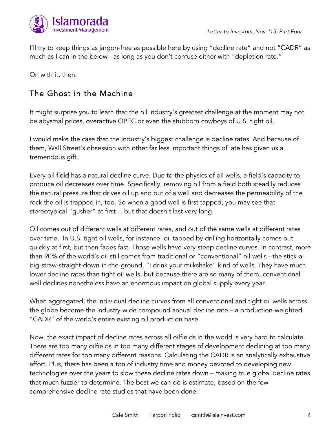

I'll try to keep things as jargon-free as possible here by using "decline rate" and not "CADR" as much as I can in the below - as long as you don't confuse either with "depletion rate."

On with it, then.

### The Ghost in the Machine

It might surprise you to learn that the oil industry's greatest challenge at the moment may not be abysmal prices, overactive OPEC or even the stubborn cowboys of U.S. tight oil.

I would make the case that the industry's biggest challenge is decline rates. And because of them, Wall Street's obsession with other far less important things of late has given us a tremendous gift.

Every oil field has a natural decline curve. Due to the physics of oil wells, a field's capacity to produce oil decreases over time. Specifically, removing oil from a field both steadily reduces the natural pressure that drives oil up and out of a well and decreases the permeability of the rock the oil is trapped in, too. So when a good well is first tapped, you may see that stereotypical "gusher" at first….but that doesn't last very long.

Oil comes out of different wells at different rates, and out of the same wells at different rates over time. In U.S. tight oil wells, for instance, oil tapped by drilling horizontally comes out quickly at first, but then fades fast. Those wells have very steep decline curves. In contrast, more than 90% of the world's oil still comes from traditional or "conventional" oil wells - the stick-abig-straw-straight-down-in-the-ground, "I drink your milkshake" kind of wells. They have much lower decline rates than tight oil wells, but because there are so many of them, conventional well declines nonetheless have an enormous impact on global supply every year.

When aggregated, the individual decline curves from all conventional and tight oil wells across the globe become the industry-wide compound annual decline rate – a production-weighted "CADR" of the world's entire existing oil production base.

Now, the exact impact of decline rates across all oilfields in the world is very hard to calculate. There are too many oilfields in too many different stages of development declining at too many different rates for too many different reasons. Calculating the CADR is an analytically exhaustive effort. Plus, there has been a ton of industry time and money devoted to developing new technologies over the years to slow these decline rates down – making true global decline rates that much fuzzier to determine. The best we can do is estimate, based on the few comprehensive decline rate studies that have been done.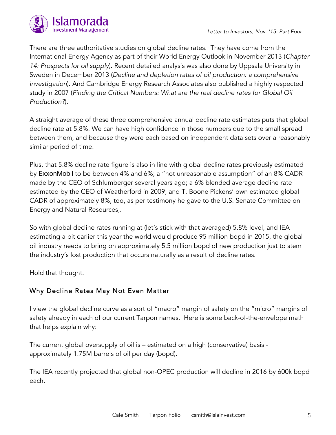

There are three authoritative studies on global decline rates. They have come from the International Energy Agency as part of their World Energy Outlook in November 2013 (*Chapter 14: Prospects for oil supply*). Recent detailed analysis was also done by Uppsala University in Sweden in December 2013 (*Decline and depletion rates of oil production: a comprehensive investigation*). And Cambridge Energy Research Associates also published a highly respected study in 2007 (*Finding the Critical Numbers: What are the real decline rates for Global Oil Production?*).

A straight average of these three comprehensive annual decline rate estimates puts that global decline rate at 5.8%. We can have high confidence in those numbers due to the small spread between them, and because they were each based on independent data sets over a reasonably similar period of time.

Plus, that 5.8% decline rate figure is also in line with global decline rates previously estimated by ExxonMobil to be between 4% and 6%; a "not unreasonable assumption" of an 8% CADR made by the CEO of Schlumberger several years ago; a 6% blended average decline rate estimated by the CEO of Weatherford in 2009; and T. Boone Pickens' own estimated global CADR of approximately 8%, too, as per testimony he gave to the U.S. Senate Committee on Energy and Natural Resources,.

So with global decline rates running at (let's stick with that averaged) 5.8% level, and IEA estimating a bit earlier this year the world would produce 95 million bopd in 2015, the global oil industry needs to bring on approximately 5.5 million bopd of new production just to stem the industry's lost production that occurs naturally as a result of decline rates.

Hold that thought.

#### Why Decline Rates May Not Even Matter

I view the global decline curve as a sort of "macro" margin of safety on the "micro" margins of safety already in each of our current Tarpon names. Here is some back-of-the-envelope math that helps explain why:

The current global oversupply of oil is – estimated on a high (conservative) basis approximately 1.75M barrels of oil per day (bopd).

The IEA recently projected that global non-OPEC production will decline in 2016 by 600k bopd each.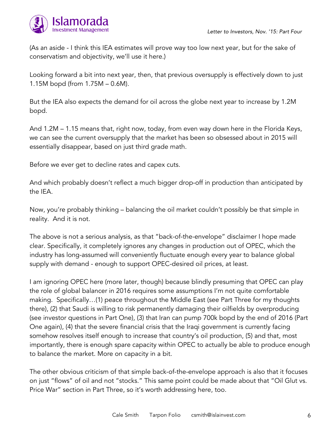

(As an aside - I think this IEA estimates will prove way too low next year, but for the sake of conservatism and objectivity, we'll use it here.)

Looking forward a bit into next year, then, that previous oversupply is effectively down to just 1.15M bopd (from 1.75M – 0.6M).

But the IEA also expects the demand for oil across the globe next year to increase by 1.2M bopd.

And 1.2M – 1.15 means that, right now, today, from even way down here in the Florida Keys, we can see the current oversupply that the market has been so obsessed about in 2015 will essentially disappear, based on just third grade math.

Before we ever get to decline rates and capex cuts.

And which probably doesn't reflect a much bigger drop-off in production than anticipated by the IEA.

Now, you're probably thinking – balancing the oil market couldn't possibly be that simple in reality. And it is not.

The above is not a serious analysis, as that "back-of-the-envelope" disclaimer I hope made clear. Specifically, it completely ignores any changes in production out of OPEC, which the industry has long-assumed will conveniently fluctuate enough every year to balance global supply with demand - enough to support OPEC-desired oil prices, at least.

I am ignoring OPEC here (more later, though) because blindly presuming that OPEC can play the role of global balancer in 2016 requires some assumptions I'm not quite comfortable making. Specifically…(1) peace throughout the Middle East (see Part Three for my thoughts there), (2) that Saudi is willing to risk permanently damaging their oilfields by overproducing (see investor questions in Part One), (3) that Iran can pump 700k bopd by the end of 2016 (Part One again), (4) that the severe financial crisis that the Iraqi government is currently facing somehow resolves itself enough to increase that country's oil production, (5) and that, most importantly, there is enough spare capacity within OPEC to actually be able to produce enough to balance the market. More on capacity in a bit.

The other obvious criticism of that simple back-of-the-envelope approach is also that it focuses on just "flows" of oil and not "stocks." This same point could be made about that "Oil Glut vs. Price War" section in Part Three, so it's worth addressing here, too.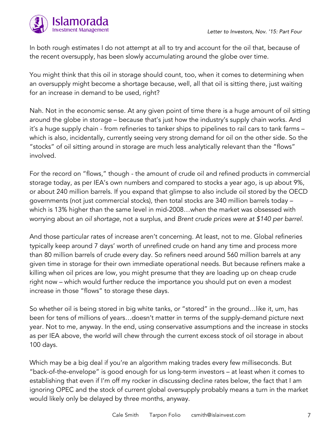

In both rough estimates I do not attempt at all to try and account for the oil that, because of the recent oversupply, has been slowly accumulating around the globe over time.

You might think that this oil in storage should count, too, when it comes to determining when an oversupply might become a shortage because, well, all that oil is sitting there, just waiting for an increase in demand to be used, right?

Nah. Not in the economic sense. At any given point of time there is a huge amount of oil sitting around the globe in storage – because that's just how the industry's supply chain works. And it's a huge supply chain - from refineries to tanker ships to pipelines to rail cars to tank farms – which is also, incidentally, currently seeing very strong demand for oil on the other side. So the "stocks" of oil sitting around in storage are much less analytically relevant than the "flows" involved.

For the record on "flows," though - the amount of crude oil and refined products in commercial storage today, as per IEA's own numbers and compared to stocks a year ago, is up about 9%, or about 240 million barrels. If you expand that glimpse to also include oil stored by the OECD governments (not just commercial stocks), then total stocks are 340 million barrels today – which is 13% higher than the same level in mid-2008…when the market was obsessed with worrying about an *oil shortage*, not a surplus, and *Brent crude prices were at \$140 per barrel*.

And those particular rates of increase aren't concerning. At least, not to me. Global refineries typically keep around 7 days' worth of unrefined crude on hand any time and process more than 80 million barrels of crude every day. So refiners need around 560 million barrels at any given time in storage for their own immediate operational needs. But because refiners make a killing when oil prices are low, you might presume that they are loading up on cheap crude right now – which would further reduce the importance you should put on even a modest increase in those "flows" to storage these days.

So whether oil is being stored in big white tanks, or "stored" in the ground…like it, um, has been for tens of millions of years…doesn't matter in terms of the supply-demand picture next year. Not to me, anyway. In the end, using conservative assumptions and the increase in stocks as per IEA above, the world will chew through the current excess stock of oil storage in about 100 days.

Which may be a big deal if you're an algorithm making trades every few milliseconds. But "back-of-the-envelope" is good enough for us long-term investors – at least when it comes to establishing that even if I'm off my rocker in discussing decline rates below, the fact that I am ignoring OPEC and the stock of current global oversupply probably means a turn in the market would likely only be delayed by three months, anyway.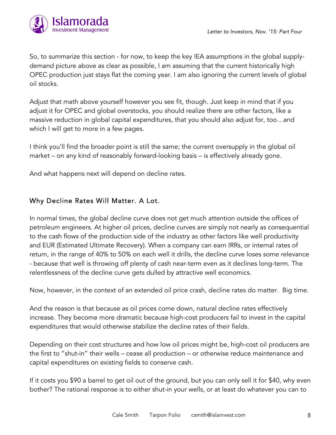

So, to summarize this section - for now, to keep the key IEA assumptions in the global supplydemand picture above as clear as possible, I am assuming that the current historically high OPEC production just stays flat the coming year. I am also ignoring the current levels of global oil stocks.

Adjust that math above yourself however you see fit, though. Just keep in mind that if you adjust it for OPEC and global overstocks, you should realize there are other factors, like a massive reduction in global capital expenditures, that you should also adjust for, too…and which I will get to more in a few pages.

I think you'll find the broader point is still the same; the current oversupply in the global oil market – on any kind of reasonably forward-looking basis – is effectively already gone.

And what happens next will depend on decline rates.

#### Why Decline Rates Will Matter. A Lot.

In normal times, the global decline curve does not get much attention outside the offices of petroleum engineers. At higher oil prices, decline curves are simply not nearly as consequential to the cash flows of the production side of the industry as other factors like well productivity and EUR (Estimated Ultimate Recovery). When a company can earn IRRs, or internal rates of return, in the range of 40% to 50% on each well it drills, the decline curve loses some relevance - because that well is throwing off plenty of cash near-term even as it declines long-term. The relentlessness of the decline curve gets dulled by attractive well economics.

Now, however, in the context of an extended oil price crash, decline rates do matter. Big time.

And the reason is that because as oil prices come down, natural decline rates effectively increase. They become more dramatic because high-cost producers fail to invest in the capital expenditures that would otherwise stabilize the decline rates of their fields.

Depending on their cost structures and how low oil prices might be, high-cost oil producers are the first to "shut-in" their wells – cease all production – or otherwise reduce maintenance and capital expenditures on existing fields to conserve cash.

If it costs you \$90 a barrel to get oil out of the ground, but you can only sell it for \$40, why even bother? The rational response is to either shut-in your wells, or at least do whatever you can to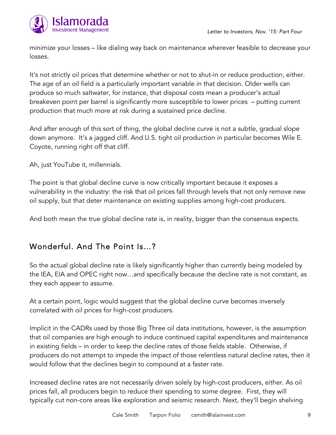

minimize your losses – like dialing way back on maintenance wherever feasible to decrease your losses.

It's not strictly oil prices that determine whether or not to shut-in or reduce production, either. The age of an oil field is a particularly important variable in that decision. Older wells can produce so much saltwater, for instance, that disposal costs mean a producer's actual breakeven point per barrel is significantly more susceptible to lower prices – putting current production that much more at risk during a sustained price decline.

And after enough of this sort of thing, the global decline curve is not a subtle, gradual slope down anymore. It's a jagged cliff. And U.S. tight oil production in particular becomes Wile E. Coyote, running right off that cliff.

Ah, just YouTube it, millennials.

The point is that global decline curve is now critically important because it exposes a vulnerability in the industry: the risk that oil prices fall through levels that not only remove new oil supply, but that deter maintenance on existing supplies among high-cost producers.

And both mean the true global decline rate is, in reality, bigger than the consensus expects.

### Wonderful. And The Point Is…?

So the actual global decline rate is likely significantly higher than currently being modeled by the IEA, EIA and OPEC right now…and specifically because the decline rate is not constant, as they each appear to assume.

At a certain point, logic would suggest that the global decline curve becomes inversely correlated with oil prices for high-cost producers.

Implicit in the CADRs used by those Big Three oil data institutions, however, is the assumption that oil companies are high enough to induce continued capital expenditures and maintenance in existing fields – in order to keep the decline rates of those fields stable. Otherwise, if producers do not attempt to impede the impact of those relentless natural decline rates, then it would follow that the declines begin to compound at a faster rate.

Increased decline rates are not necessarily driven solely by high-cost producers, either. As oil prices fall, all producers begin to reduce their spending to some degree. First, they will typically cut non-core areas like exploration and seismic research. Next, they'll begin shelving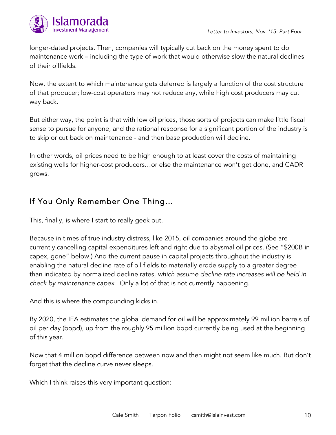

longer-dated projects. Then, companies will typically cut back on the money spent to do maintenance work – including the type of work that would otherwise slow the natural declines of their oilfields.

Now, the extent to which maintenance gets deferred is largely a function of the cost structure of that producer; low-cost operators may not reduce any, while high cost producers may cut way back.

But either way, the point is that with low oil prices, those sorts of projects can make little fiscal sense to pursue for anyone, and the rational response for a significant portion of the industry is to skip or cut back on maintenance - and then base production will decline.

In other words, oil prices need to be high enough to at least cover the costs of maintaining existing wells for higher-cost producers…or else the maintenance won't get done, and CADR grows.

### If You Only Remember One Thing…

This, finally, is where I start to really geek out.

Because in times of true industry distress, like 2015, oil companies around the globe are currently cancelling capital expenditures left and right due to abysmal oil prices. (See "\$200B in capex, gone" below.) And the current pause in capital projects throughout the industry is enabling the natural decline rate of oil fields to materially erode supply to a greater degree than indicated by normalized decline rates, *which assume decline rate increases will be held in check by maintenance capex*. Only a lot of that is not currently happening.

And this is where the compounding kicks in.

By 2020, the IEA estimates the global demand for oil will be approximately 99 million barrels of oil per day (bopd), up from the roughly 95 million bopd currently being used at the beginning of this year.

Now that 4 million bopd difference between now and then might not seem like much. But don't forget that the decline curve never sleeps.

Which I think raises this very important question: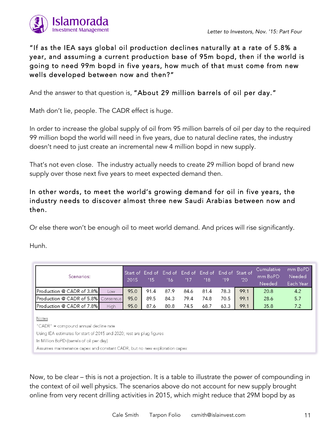

### "If as the IEA says global oil production declines naturally at a rate of 5.8% a year, and assuming a current production base of 95m bopd, then if the world is going to need 99m bopd in five years, how much of that must come from new wells developed between now and then?"

And the answer to that question is, "About 29 million barrels of oil per day."

Math don't lie, people. The CADR effect is huge.

In order to increase the global supply of oil from 95 million barrels of oil per day to the required 99 million bopd the world will need in five years, due to natural decline rates, the industry doesn't need to just create an incremental new 4 million bopd in new supply.

That's not even close. The industry actually needs to create 29 million bopd of brand new supply over those next five years to meet expected demand then.

#### In other words, to meet the world's growing demand for oil in five years, the industry needs to discover almost three new Saudi Arabias between now and then.

Or else there won't be enough oil to meet world demand. And prices will rise significantly.

Hunh.

| Scenarios:                                                                                                              |      | Start of End of End of End of End of End of Start of<br>2015 | 1151 | 16   | 117  | 18   | 19   | '20  | Cumulative<br>mm BoPD<br>Needed | mm BoPD<br>Needed<br>Each Year |
|-------------------------------------------------------------------------------------------------------------------------|------|--------------------------------------------------------------|------|------|------|------|------|------|---------------------------------|--------------------------------|
| <b>IProduction @ CADR of 3.8%I</b>                                                                                      | Low  | 95.0                                                         | 91.4 | 87.9 | 84.6 | 81.4 | 78.3 | 99.1 | 20.8                            | 4.2                            |
| <b>Production @ CADR of 5.8%</b> Consensus                                                                              |      | 95.0                                                         | 89.5 | 84.3 | 79.4 | 74.8 | 70.5 | 99.1 | 28.6                            | 5.7                            |
| <b>IProduction @ CADR of 7.8%</b>                                                                                       | High | 95.0                                                         | 87.6 | 80.8 | 74.5 | 68.7 | 63.3 | 99.1 | 35.8                            | 7.2                            |
| Notes<br>"CADR" = compound annual decline rate<br>Using IEA estimates for start of 2015 and 2020; rest are plug figures |      |                                                              |      |      |      |      |      |      |                                 |                                |

In Million BoPD (barrels of oil per day)

Assumes maintenance capex and constant CADR, but no new exploration capex

Now, to be clear – this is not a projection. It is a table to illustrate the power of compounding in the context of oil well physics. The scenarios above do not account for new supply brought online from very recent drilling activities in 2015, which might reduce that 29M bopd by as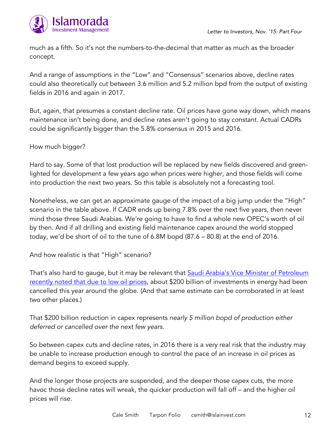



much as a fifth. So it's not the numbers-to-the-decimal that matter as much as the broader concept.

And a range of assumptions in the "Low" and "Consensus" scenarios above, decline rates could also theoretically cut between 3.6 million and 5.2 million bpd from the output of existing fields in 2016 and again in 2017.

But, again, that presumes a constant decline rate. Oil prices have gone way down, which means maintenance isn't being done, and decline rates aren't going to stay constant. Actual CADRs could be significantly bigger than the 5.8% consensus in 2015 and 2016.

How much bigger?

Hard to say. Some of that lost production will be replaced by new fields discovered and greenlighted for development a few years ago when prices were higher, and those fields will come into production the next two years. So this table is absolutely not a forecasting tool.

Nonetheless, we can get an approximate gauge of the impact of a big jump under the "High" scenario in the table above. If CADR ends up being 7.8% over the next five years, then never mind those three Saudi Arabias. We're going to have to find a whole new OPEC's worth of oil by then. And if all drilling and existing field maintenance capex around the world stopped today, we'd be short of oil to the tune of 6.8M bopd (87.6 – 80.8) at the end of 2016.

And how realistic is that "High" scenario?

That's also hard to gauge, but it may be relevant that [Saudi Arabia's Vice Minister of Petroleum](http://www.platts.com/latest-news/oil/doha/saudis-sees-non-opec-oil-supply-drop-accelerating-26271143?hootpostid=35bf12b75ec7a1c0b768ae7b0379b84e) [recently noted that due to low oil prices](http://www.platts.com/latest-news/oil/doha/saudis-sees-non-opec-oil-supply-drop-accelerating-26271143?hootpostid=35bf12b75ec7a1c0b768ae7b0379b84e), about \$200 billion of investments in energy had been cancelled this year around the globe. (And that same estimate can be corroborated in at least two other places.)

That \$200 billion reduction in capex represents *nearly 5 million bopd of production either deferred or cancelled over the next few years*.

So between capex cuts and decline rates, in 2016 there is a very real risk that the industry may be unable to increase production enough to control the pace of an increase in oil prices as demand begins to exceed supply.

And the longer those projects are suspended, and the deeper those capex cuts, the more havoc those decline rates will wreak, the quicker production will fall off – and the higher oil prices will rise.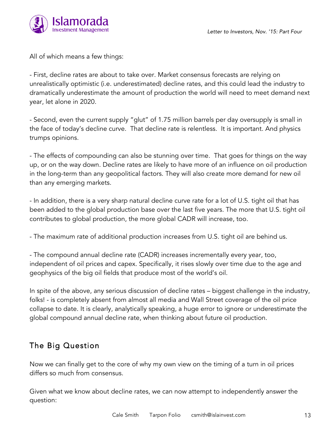

All of which means a few things:

- First, decline rates are about to take over. Market consensus forecasts are relying on unrealistically optimistic (i.e. underestimated) decline rates, and this could lead the industry to dramatically underestimate the amount of production the world will need to meet demand next year, let alone in 2020.

- Second, even the current supply "glut" of 1.75 million barrels per day oversupply is small in the face of today's decline curve. That decline rate is relentless. It is important. And physics trumps opinions.

- The effects of compounding can also be stunning over time. That goes for things on the way up, or on the way down. Decline rates are likely to have more of an influence on oil production in the long-term than any geopolitical factors. They will also create more demand for new oil than any emerging markets.

- In addition, there is a very sharp natural decline curve rate for a lot of U.S. tight oil that has been added to the global production base over the last five years. The more that U.S. tight oil contributes to global production, the more global CADR will increase, too.

- The maximum rate of additional production increases from U.S. tight oil are behind us.

- The compound annual decline rate (CADR) increases incrementally every year, too, independent of oil prices and capex. Specifically, it rises slowly over time due to the age and geophysics of the big oil fields that produce most of the world's oil.

In spite of the above, any serious discussion of decline rates – biggest challenge in the industry, folks! - is completely absent from almost all media and Wall Street coverage of the oil price collapse to date. It is clearly, analytically speaking, a huge error to ignore or underestimate the global compound annual decline rate, when thinking about future oil production.

### The Big Question

Now we can finally get to the core of why my own view on the timing of a turn in oil prices differs so much from consensus.

Given what we know about decline rates, we can now attempt to independently answer the question: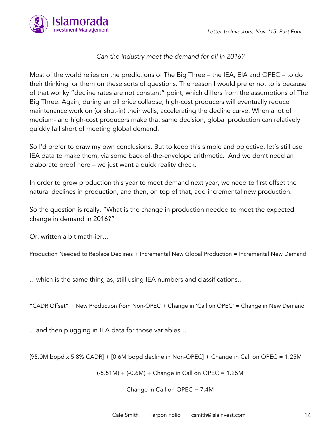

#### *Can the industry meet the demand for oil in 2016?*

Most of the world relies on the predictions of The Big Three – the IEA, EIA and OPEC – to do their thinking for them on these sorts of questions. The reason I would prefer not to is because of that wonky "decline rates are not constant" point, which differs from the assumptions of The Big Three. Again, during an oil price collapse, high-cost producers will eventually reduce maintenance work on (or shut-in) their wells, accelerating the decline curve. When a lot of medium- and high-cost producers make that same decision, global production can relatively quickly fall short of meeting global demand.

So I'd prefer to draw my own conclusions. But to keep this simple and objective, let's still use IEA data to make them, via some back-of-the-envelope arithmetic. And we don't need an elaborate proof here – we just want a quick reality check.

In order to grow production this year to meet demand next year, we need to first offset the natural declines in production, and then, on top of that, add incremental new production.

So the question is really, "What is the change in production needed to meet the expected change in demand in 2016?"

Or, written a bit math-ier…

Production Needed to Replace Declines + Incremental New Global Production = Incremental New Demand

…which is the same thing as, still using IEA numbers and classifications…

"CADR Offset" + New Production from Non-OPEC + Change in 'Call on OPEC' = Change in New Demand

…and then plugging in IEA data for those variables…

[95.0M bopd x 5.8% CADR] + [0.6M bopd decline in Non-OPEC] + Change in Call on OPEC = 1.25M

 $(-5.51M) + (-0.6M) +$  Change in Call on OPEC = 1.25M

Change in Call on OPEC = 7.4M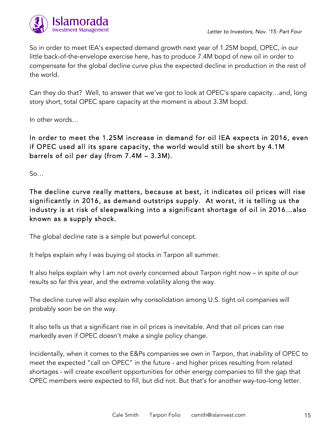

So in order to meet IEA's expected demand growth next year of 1.25M bopd, OPEC, in our little back-of-the-envelope exercise here, has to produce 7.4M bopd of new oil in order to compensate for the global decline curve plus the expected decline in production in the rest of the world.

Can they do that? Well, to answer that we've got to look at OPEC's spare capacity…and, long story short, total OPEC spare capacity at the moment is about 3.3M bopd.

In other words…

In order to meet the 1.25M increase in demand for oil IEA expects in 2016, even if OPEC used all its spare capacity, the world would still be short by 4.1M barrels of oil per day (from 7.4M – 3.3M).

 $S$ <sup>o</sup>…

The decline curve really matters, because at best, it indicates oil prices will rise significantly in 2016, as demand outstrips supply. At worst, it is telling us the industry is at risk of sleepwalking into a significant shortage of oil in 2016…also known as a supply shock.

The global decline rate is a simple but powerful concept.

It helps explain why I was buying oil stocks in Tarpon all summer.

It also helps explain why I am not overly concerned about Tarpon right now – in spite of our results so far this year, and the extreme volatility along the way.

The decline curve will also explain why consolidation among U.S. tight oil companies will probably soon be on the way.

It also tells us that a significant rise in oil prices is inevitable. And that oil prices can rise markedly even if OPEC doesn't make a single policy change.

Incidentally, when it comes to the E&Ps companies we own in Tarpon, that inability of OPEC to meet the expected "call on OPEC" in the future - and higher prices resulting from related shortages - will create excellent opportunities for other energy companies to fill the gap that OPEC members were expected to fill, but did not. But that's for another way-too-long letter.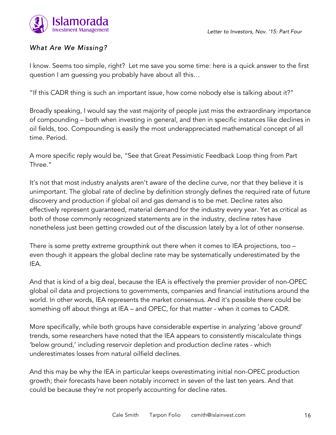

### *What Are We Missing?*

I know. Seems too simple, right? Let me save you some time: here is a quick answer to the first question I am guessing you probably have about all this…

"If this CADR thing is such an important issue, how come nobody else is talking about it?"

Broadly speaking, I would say the vast majority of people just miss the extraordinary importance of compounding – both when investing in general, and then in specific instances like declines in oil fields, too. Compounding is easily the most underappreciated mathematical concept of all time. Period.

A more specific reply would be, "See that Great Pessimistic Feedback Loop thing from Part Three."

It's not that most industry analysts aren't aware of the decline curve, nor that they believe it is unimportant. The global rate of decline by definition strongly defines the required rate of future discovery and production if global oil and gas demand is to be met. Decline rates also effectively represent guaranteed, material demand for the industry every year. Yet as critical as both of those commonly recognized statements are in the industry, decline rates have nonetheless just been getting crowded out of the discussion lately by a lot of other nonsense.

There is some pretty extreme groupthink out there when it comes to IEA projections, too – even though it appears the global decline rate may be systematically underestimated by the IEA.

And that is kind of a big deal, because the IEA is effectively the premier provider of non-OPEC global oil data and projections to governments, companies and financial institutions around the world. In other words, IEA represents the market consensus. And it's possible there could be something off about things at IEA – and OPEC, for that matter - when it comes to CADR.

More specifically, while both groups have considerable expertise in analyzing 'above ground' trends, some researchers have noted that the IEA appears to consistently miscalculate things 'below ground,' including reservoir depletion and production decline rates - which underestimates losses from natural oilfield declines.

And this may be why the IEA in particular keeps overestimating initial non-OPEC production growth; their forecasts have been notably incorrect in seven of the last ten years. And that could be because they're not properly accounting for decline rates.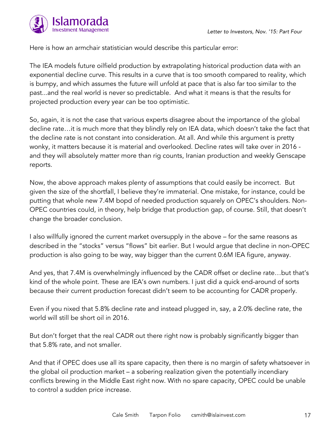

Here is how an armchair statistician would describe this particular error:

The IEA models future oilfield production by extrapolating historical production data with an exponential decline curve. This results in a curve that is too smooth compared to reality, which is bumpy, and which assumes the future will unfold at pace that is also far too similar to the past...and the real world is never so predictable. And what it means is that the results for projected production every year can be too optimistic.

So, again, it is not the case that various experts disagree about the importance of the global decline rate…it is much more that they blindly rely on IEA data, which doesn't take the fact that the decline rate is not constant into consideration. At all. And while this argument is pretty wonky, it matters because it is material and overlooked. Decline rates will take over in 2016 and they will absolutely matter more than rig counts, Iranian production and weekly Genscape reports.

Now, the above approach makes plenty of assumptions that could easily be incorrect. But given the size of the shortfall, I believe they're immaterial. One mistake, for instance, could be putting that whole new 7.4M bopd of needed production squarely on OPEC's shoulders. Non-OPEC countries could, in theory, help bridge that production gap, of course. Still, that doesn't change the broader conclusion.

I also willfully ignored the current market oversupply in the above – for the same reasons as described in the "stocks" versus "flows" bit earlier. But I would argue that decline in non-OPEC production is also going to be way, way bigger than the current 0.6M IEA figure, anyway.

And yes, that 7.4M is overwhelmingly influenced by the CADR offset or decline rate…but that's kind of the whole point. These are IEA's own numbers. I just did a quick end-around of sorts because their current production forecast didn't seem to be accounting for CADR properly.

Even if you nixed that 5.8% decline rate and instead plugged in, say, a 2.0% decline rate, the world will still be short oil in 2016.

But don't forget that the real CADR out there right now is probably significantly bigger than that 5.8% rate, and not smaller.

And that if OPEC does use all its spare capacity, then there is no margin of safety whatsoever in the global oil production market – a sobering realization given the potentially incendiary conflicts brewing in the Middle East right now. With no spare capacity, OPEC could be unable to control a sudden price increase.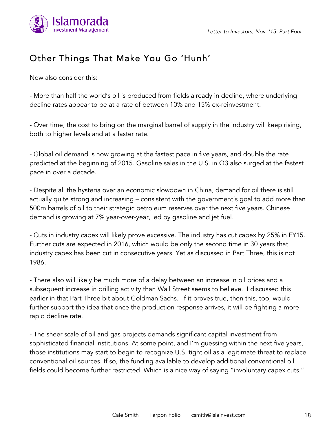

# Other Things That Make You Go 'Hunh'

Now also consider this:

- More than half the world's oil is produced from fields already in decline, where underlying decline rates appear to be at a rate of between 10% and 15% ex-reinvestment.

- Over time, the cost to bring on the marginal barrel of supply in the industry will keep rising, both to higher levels and at a faster rate.

- Global oil demand is now growing at the fastest pace in five years, and double the rate predicted at the beginning of 2015. Gasoline sales in the U.S. in Q3 also surged at the fastest pace in over a decade.

- Despite all the hysteria over an economic slowdown in China, demand for oil there is still actually quite strong and increasing – consistent with the government's goal to add more than 500m barrels of oil to their strategic petroleum reserves over the next five years. Chinese demand is growing at 7% year-over-year, led by gasoline and jet fuel.

- Cuts in industry capex will likely prove excessive. The industry has cut capex by 25% in FY15. Further cuts are expected in 2016, which would be only the second time in 30 years that industry capex has been cut in consecutive years. Yet as discussed in Part Three, this is not 1986.

- There also will likely be much more of a delay between an increase in oil prices and a subsequent increase in drilling activity than Wall Street seems to believe. I discussed this earlier in that Part Three bit about Goldman Sachs. If it proves true, then this, too, would further support the idea that once the production response arrives, it will be fighting a more rapid decline rate.

- The sheer scale of oil and gas projects demands significant capital investment from sophisticated financial institutions. At some point, and I'm guessing within the next five years, those institutions may start to begin to recognize U.S. tight oil as a legitimate threat to replace conventional oil sources. If so, the funding available to develop additional conventional oil fields could become further restricted. Which is a nice way of saying "involuntary capex cuts."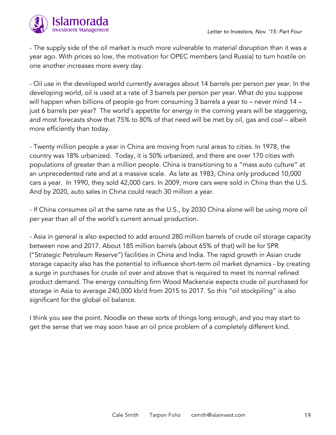

- The supply side of the oil market is much more vulnerable to material disruption than it was a year ago. With prices so low, the motivation for OPEC members (and Russia) to turn hostile on one another increases more every day.

- Oil use in the developed world currently averages about 14 barrels per person per year. In the developing world, oil is used at a rate of 3 barrels per person per year. What do you suppose will happen when billions of people go from consuming 3 barrels a year to – never mind 14 – just 6 barrels per year? The world's appetite for energy in the coming years will be staggering, and most forecasts show that 75% to 80% of that need will be met by oil, gas and coal – albeit more efficiently than today.

- Twenty million people a year in China are moving from rural areas to cities. In 1978, the country was 18% urbanized. Today, it is 50% urbanized, and there are over 170 cities with populations of greater than a million people. China is transitioning to a "mass auto culture" at an unprecedented rate and at a massive scale. As late as 1983, China only produced 10,000 cars a year. In 1990, they sold 42,000 cars. In 2009, more cars were sold in China than the U.S. And by 2020, auto sales in China could reach 30 million a year.

- If China consumes oil at the same rate as the U.S., by 2030 China alone will be using more oil per year than all of the world's current annual production.

- Asia in general is also expected to add around 280 million barrels of crude oil storage capacity between now and 2017. About 185 million barrels (about 65% of that) will be for SPR ("Strategic Petroleum Reserve") facilities in China and India. The rapid growth in Asian crude storage capacity also has the potential to influence short-term oil market dynamics - by creating a surge in purchases for crude oil over and above that is required to meet its normal refined product demand. The energy consulting firm Wood Mackenzie expects crude oil purchased for storage in Asia to average 240,000 kb/d from 2015 to 2017. So this "oil stockpiling" is also significant for the global oil balance.

I think you see the point. Noodle on these sorts of things long enough, and you may start to get the sense that we may soon have an oil price problem of a completely different kind.